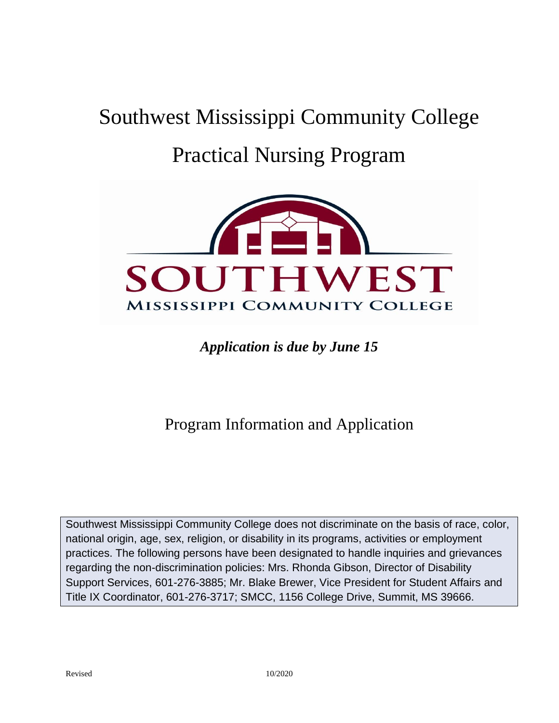# Southwest Mississippi Community College Practical Nursing Program



### *Application is due by June 15*

## Program Information and Application

Southwest Mississippi Community College does not discriminate on the basis of race, color, national origin, age, sex, religion, or disability in its programs, activities or employment practices. The following persons have been designated to handle inquiries and grievances regarding the non-discrimination policies: Mrs. Rhonda Gibson, Director of Disability Support Services, 601-276-3885; Mr. Blake Brewer, Vice President for Student Affairs and Title IX Coordinator, 601-276-3717; SMCC, 1156 College Drive, Summit, MS 39666.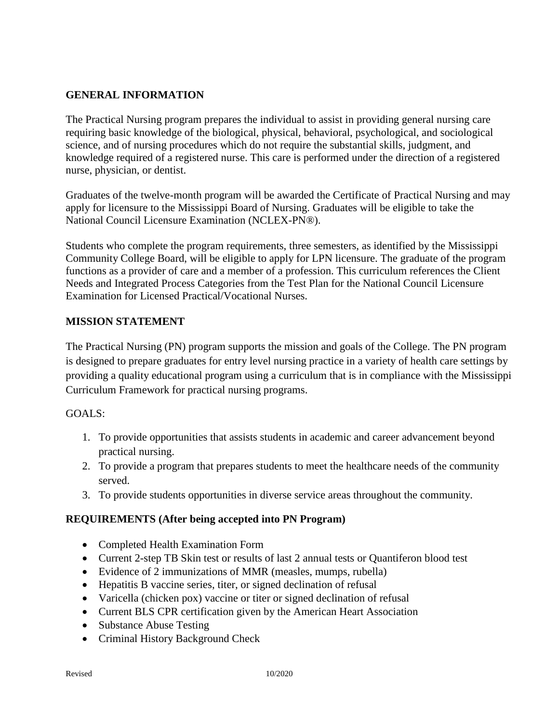#### **GENERAL INFORMATION**

The Practical Nursing program prepares the individual to assist in providing general nursing care requiring basic knowledge of the biological, physical, behavioral, psychological, and sociological science, and of nursing procedures which do not require the substantial skills, judgment, and knowledge required of a registered nurse. This care is performed under the direction of a registered nurse, physician, or dentist.

Graduates of the twelve-month program will be awarded the Certificate of Practical Nursing and may apply for licensure to the Mississippi Board of Nursing. Graduates will be eligible to take the National Council Licensure Examination (NCLEX-PN®).

Students who complete the program requirements, three semesters, as identified by the Mississippi Community College Board, will be eligible to apply for LPN licensure. The graduate of the program functions as a provider of care and a member of a profession. This curriculum references the Client Needs and Integrated Process Categories from the Test Plan for the National Council Licensure Examination for Licensed Practical/Vocational Nurses.

#### **MISSION STATEMENT**

The Practical Nursing (PN) program supports the mission and goals of the College. The PN program is designed to prepare graduates for entry level nursing practice in a variety of health care settings by providing a quality educational program using a curriculum that is in compliance with the Mississippi Curriculum Framework for practical nursing programs.

#### GOALS:

- 1. To provide opportunities that assists students in academic and career advancement beyond practical nursing.
- 2. To provide a program that prepares students to meet the healthcare needs of the community served.
- 3. To provide students opportunities in diverse service areas throughout the community.

#### **REQUIREMENTS (After being accepted into PN Program)**

- Completed Health Examination Form
- Current 2-step TB Skin test or results of last 2 annual tests or Quantiferon blood test
- Evidence of 2 immunizations of MMR (measles, mumps, rubella)
- Hepatitis B vaccine series, titer, or signed declination of refusal
- Varicella (chicken pox) vaccine or titer or signed declination of refusal
- Current BLS CPR certification given by the American Heart Association
- Substance Abuse Testing
- Criminal History Background Check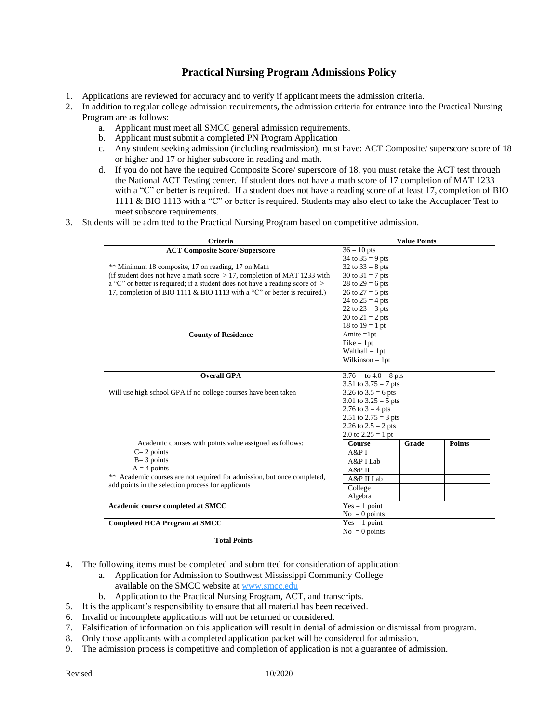#### **Practical Nursing Program Admissions Policy**

- 1. Applications are reviewed for accuracy and to verify if applicant meets the admission criteria.
- 2. In addition to regular college admission requirements, the admission criteria for entrance into the Practical Nursing Program are as follows:
	- a. Applicant must meet all SMCC general admission requirements.
	- b. Applicant must submit a completed PN Program Application
	- c. Any student seeking admission (including readmission), must have: ACT Composite/ superscore score of 18 or higher and 17 or higher subscore in reading and math.
	- d. If you do not have the required Composite Score/ superscore of 18, you must retake the ACT test through the National ACT Testing center. If student does not have a math score of 17 completion of MAT 1233 with a "C" or better is required. If a student does not have a reading score of at least 17, completion of BIO 1111 & BIO 1113 with a "C" or better is required. Students may also elect to take the Accuplacer Test to meet subscore requirements.
- 3. Students will be admitted to the Practical Nursing Program based on competitive admission.

| <b>Criteria</b>                                                                | <b>Value Points</b>      |       |               |
|--------------------------------------------------------------------------------|--------------------------|-------|---------------|
| <b>ACT Composite Score/ Superscore</b>                                         | $36 = 10$ pts            |       |               |
|                                                                                | 34 to $35 = 9$ pts       |       |               |
| ** Minimum 18 composite, 17 on reading, 17 on Math                             | 32 to $33 = 8$ pts       |       |               |
| (if student does not have a math score $> 17$ , completion of MAT 1233 with    | 30 to $31 = 7$ pts       |       |               |
| a "C" or better is required; if a student does not have a reading score of $>$ | 28 to $29 = 6$ pts       |       |               |
| 17, completion of BIO 1111 & BIO 1113 with a "C" or better is required.)       | 26 to $27 = 5$ pts       |       |               |
|                                                                                | 24 to $25 = 4$ pts       |       |               |
|                                                                                | 22 to $23 = 3$ pts       |       |               |
|                                                                                | 20 to $21 = 2$ pts       |       |               |
|                                                                                | 18 to $19 = 1$ pt        |       |               |
| <b>County of Residence</b>                                                     | Amite $=1pt$             |       |               |
|                                                                                | $Pike = 1pt$             |       |               |
|                                                                                | $Walthall = 1pt$         |       |               |
|                                                                                | Wilkinson $= 1pt$        |       |               |
|                                                                                |                          |       |               |
| <b>Overall GPA</b>                                                             | to $4.0 = 8$ pts<br>3.76 |       |               |
|                                                                                | 3.51 to $3.75 = 7$ pts   |       |               |
| Will use high school GPA if no college courses have been taken                 | 3.26 to $3.5 = 6$ pts    |       |               |
|                                                                                | 3.01 to $3.25 = 5$ pts   |       |               |
|                                                                                | 2.76 to $3 = 4$ pts      |       |               |
|                                                                                | 2.51 to $2.75 = 3$ pts   |       |               |
|                                                                                | 2.26 to $2.5 = 2$ pts    |       |               |
|                                                                                | 2.0 to $2.25 = 1$ pt     |       |               |
| Academic courses with points value assigned as follows:                        | Course                   | Grade | <b>Points</b> |
| $C = 2$ points                                                                 | A&P I                    |       |               |
| $B = 3$ points                                                                 | A&P I Lab                |       |               |
| $A = 4$ points                                                                 | A&PII                    |       |               |
| ** Academic courses are not required for admission, but once completed,        | A&P II Lab               |       |               |
| add points in the selection process for applicants                             | College                  |       |               |
|                                                                                | Algebra                  |       |               |
| Academic course completed at SMCC                                              | $Yes = 1 point$          |       |               |
|                                                                                | $No = 0$ points          |       |               |
| <b>Completed HCA Program at SMCC</b>                                           | $Yes = 1 point$          |       |               |
|                                                                                | $No = 0$ points          |       |               |
| <b>Total Points</b>                                                            |                          |       |               |

- 4. The following items must be completed and submitted for consideration of application:
	- a. Application for Admission to Southwest Mississippi Community College
		- available on the SMCC website at [www.smcc.edu](http://www.smcc.edu/)
	- b. Application to the Practical Nursing Program, ACT, and transcripts.
- 5. It is the applicant's responsibility to ensure that all material has been received.
- 6. Invalid or incomplete applications will not be returned or considered.
- 7. Falsification of information on this application will result in denial of admission or dismissal from program.
- 8. Only those applicants with a completed application packet will be considered for admission.
- 9. The admission process is competitive and completion of application is not a guarantee of admission.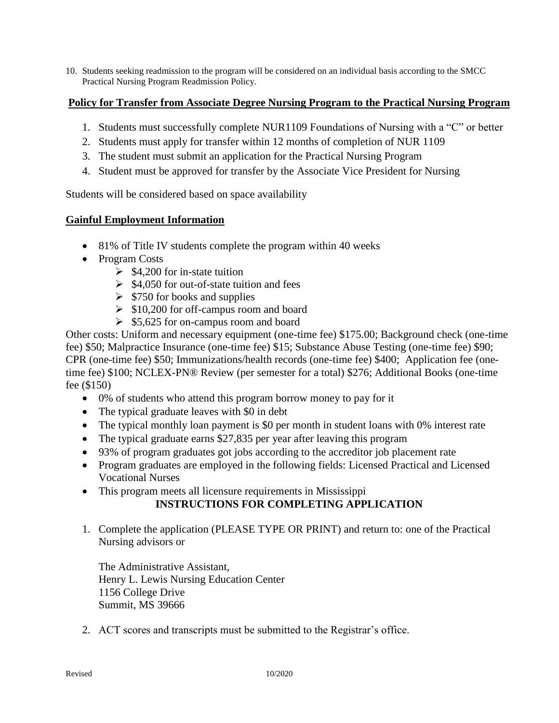10. Students seeking readmission to the program will be considered on an individual basis according to the SMCC Practical Nursing Program Readmission Policy.

#### **Policy for Transfer from Associate Degree Nursing Program to the Practical Nursing Program**

- 1. Students must successfully complete NUR1109 Foundations of Nursing with a "C" or better
- 2. Students must apply for transfer within 12 months of completion of NUR 1109
- 3. The student must submit an application for the Practical Nursing Program
- 4. Student must be approved for transfer by the Associate Vice President for Nursing

Students will be considered based on space availability

#### **Gainful Employment Information**

- 81% of Title IV students complete the program within 40 weeks
- Program Costs
	- $\geq$  \$4,200 for in-state tuition
	- $\geq$  \$4,050 for out-of-state tuition and fees
	- $\geq$  \$750 for books and supplies
	- $\geq$  \$10,200 for off-campus room and board
	- $\geq$  \$5,625 for on-campus room and board

Other costs: Uniform and necessary equipment (one-time fee) \$175.00; Background check (one-time fee) \$50; Malpractice Insurance (one-time fee) \$15; Substance Abuse Testing (one-time fee) \$90; CPR (one-time fee) \$50; Immunizations/health records (one-time fee) \$400; Application fee (onetime fee) \$100; NCLEX-PN® Review (per semester for a total) \$276; Additional Books (one-time fee (\$150)

- 0% of students who attend this program borrow money to pay for it
- The typical graduate leaves with \$0 in debt
- The typical monthly loan payment is \$0 per month in student loans with 0% interest rate
- The typical graduate earns \$27,835 per year after leaving this program
- 93% of program graduates got jobs according to the accreditor job placement rate
- Program graduates are employed in the following fields: Licensed Practical and Licensed Vocational Nurses
- This program meets all licensure requirements in Mississippi

#### **INSTRUCTIONS FOR COMPLETING APPLICATION**

1. Complete the application (PLEASE TYPE OR PRINT) and return to: one of the Practical Nursing advisors or

The Administrative Assistant, Henry L. Lewis Nursing Education Center 1156 College Drive Summit, MS 39666

2. ACT scores and transcripts must be submitted to the Registrar's office.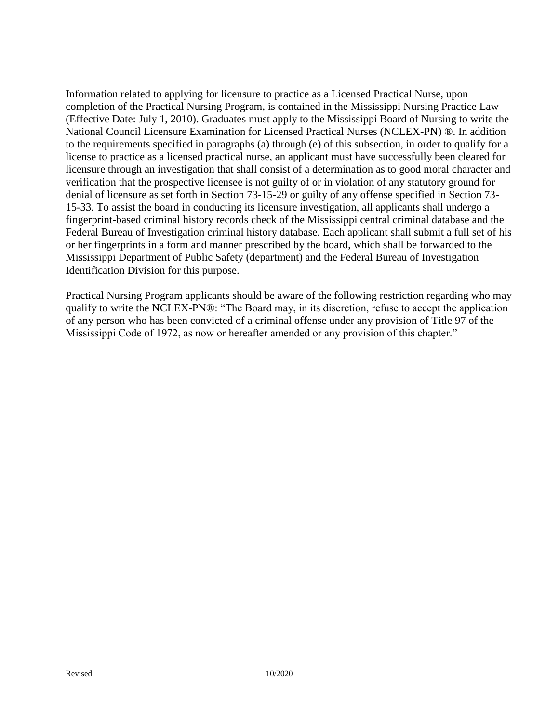Information related to applying for licensure to practice as a Licensed Practical Nurse, upon completion of the Practical Nursing Program, is contained in the Mississippi Nursing Practice Law (Effective Date: July 1, 2010). Graduates must apply to the Mississippi Board of Nursing to write the National Council Licensure Examination for Licensed Practical Nurses (NCLEX-PN) ®. In addition to the requirements specified in paragraphs (a) through (e) of this subsection, in order to qualify for a license to practice as a licensed practical nurse, an applicant must have successfully been cleared for licensure through an investigation that shall consist of a determination as to good moral character and verification that the prospective licensee is not guilty of or in violation of any statutory ground for denial of licensure as set forth in Section 73-15-29 or guilty of any offense specified in Section 73- 15-33. To assist the board in conducting its licensure investigation, all applicants shall undergo a fingerprint-based criminal history records check of the Mississippi central criminal database and the Federal Bureau of Investigation criminal history database. Each applicant shall submit a full set of his or her fingerprints in a form and manner prescribed by the board, which shall be forwarded to the Mississippi Department of Public Safety (department) and the Federal Bureau of Investigation Identification Division for this purpose.

Practical Nursing Program applicants should be aware of the following restriction regarding who may qualify to write the NCLEX-PN®: "The Board may, in its discretion, refuse to accept the application of any person who has been convicted of a criminal offense under any provision of Title 97 of the Mississippi Code of 1972, as now or hereafter amended or any provision of this chapter."